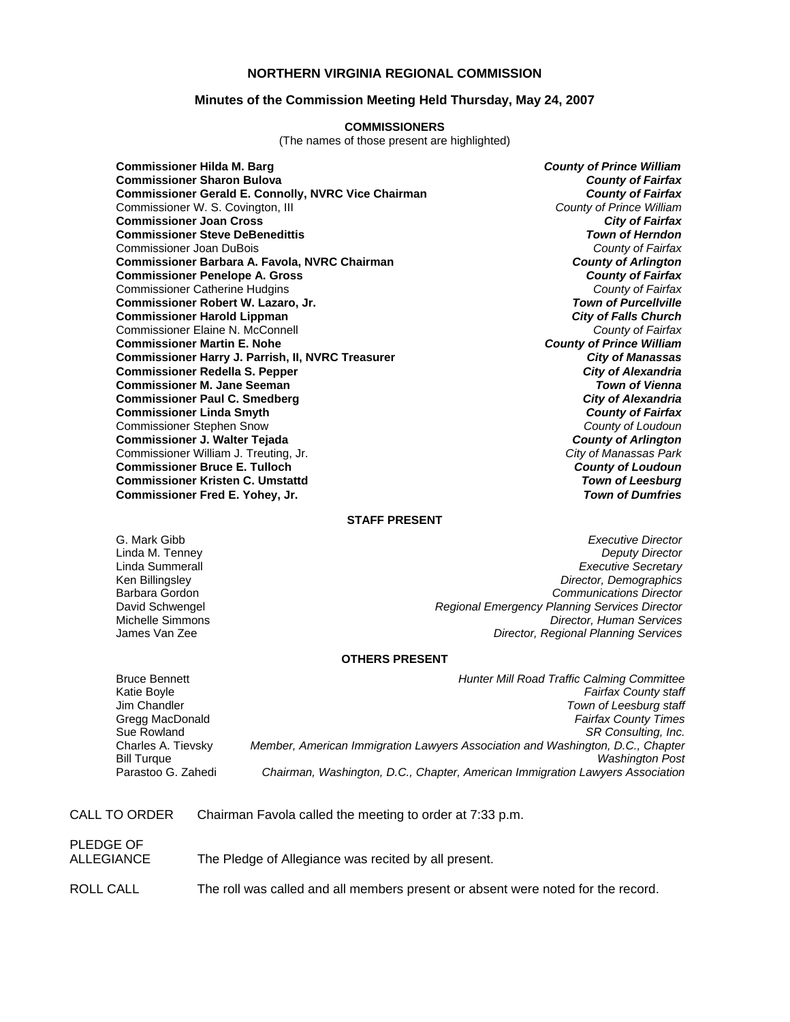# **NORTHERN VIRGINIA REGIONAL COMMISSION**

## **Minutes of the Commission Meeting Held Thursday, May 24, 2007**

#### **COMMISSIONERS**

(The names of those present are highlighted)

**Commissioner Hilda M. Barg** *County of Prince William* **Commissioner Sharon Bulova** *County of Fairfax* **Commissioner Gerald E. Connolly, NVRC Vice Chairman** *County of Fairfax**County of Fairfax**Commissioner W. S. Covington, III* Commissioner W. S. Covington, III **Commissioner Joan Cross** *City of Fairfax* **Commissioner Steve DeBenedittis** *Town of Herndon* Commissioner Joan DuBois *County of Fairfax* **Commissioner Barbara A. Favola, NVRC Chairman** *County of Arlington* **Commissioner Penelope A. Gross** *County of Fairfax* Commissioner Catherine Hudgins *County of Fairfax* **Commissioner Robert W. Lazaro, Jr.** *Town of Purcellville* **Commissioner Harold Lippman** *City of Falls Church* Commissioner Elaine N. McConnell *County of Fairfax* **Commissioner Martin E. Nohe** *County of Prince William* **Commissioner Harry J. Parrish, II, NVRC Treasurer** *City of Manassas* **Commissioner Redella S. Pepper** *City of Alexandria* **Commissioner M. Jane Seeman** *Town of Vienna* **Commissioner Paul C. Smedberg** *City of Alexandria* **Commissioner Linda Smyth** *County of Fairfax* Commissioner Stephen Snow *County of Loudoun* **Commissioner J. Walter Tejada** *County of Arlington* Commissioner William J. Treuting, Jr. **Commissioner Bruce E. Tulloch** *County of Loudoun* **Commissioner Kristen C. Umstattd** *Town of Leesburg* **Commissioner Fred E. Yohey, Jr.** *Town of Dumfries*

## **STAFF PRESENT**

G. Mark Gibb *Executive Director* **Deputy Director** Linda Summerall *Executive Secretary* Ken Billingsley *Director, Demographics* Barbara Gordon *Communications Director* David Schwengel *Regional Emergency Planning Services Director* Michelle Simmons *Director, Human Services* James Van Zee *Director, Regional Planning Services*

#### **OTHERS PRESENT**

| <b>Bruce Bennett</b> | <b>Hunter Mill Road Traffic Calming Committee</b>                              |
|----------------------|--------------------------------------------------------------------------------|
| Katie Boyle          | <b>Fairfax County staff</b>                                                    |
| Jim Chandler         | Town of Leesburg staff                                                         |
| Gregg MacDonald      | <b>Fairfax County Times</b>                                                    |
| Sue Rowland          | SR Consulting, Inc.                                                            |
| Charles A. Tievsky   | Member, American Immigration Lawyers Association and Washington, D.C., Chapter |
| Bill Turque          | <b>Washington Post</b>                                                         |
| Parastoo G. Zahedi   | Chairman, Washington, D.C., Chapter, American Immigration Lawyers Association  |
|                      |                                                                                |

| CALL TO ORDER | Chairman Favola called the meeting to order at 7:33 p.m. |
|---------------|----------------------------------------------------------|
|---------------|----------------------------------------------------------|

| PLEDGE OF<br>ALLEGIANCE | The Pledge of Allegiance was recited by all present.                             |
|-------------------------|----------------------------------------------------------------------------------|
| ROLL CALL               | The roll was called and all members present or absent were noted for the record. |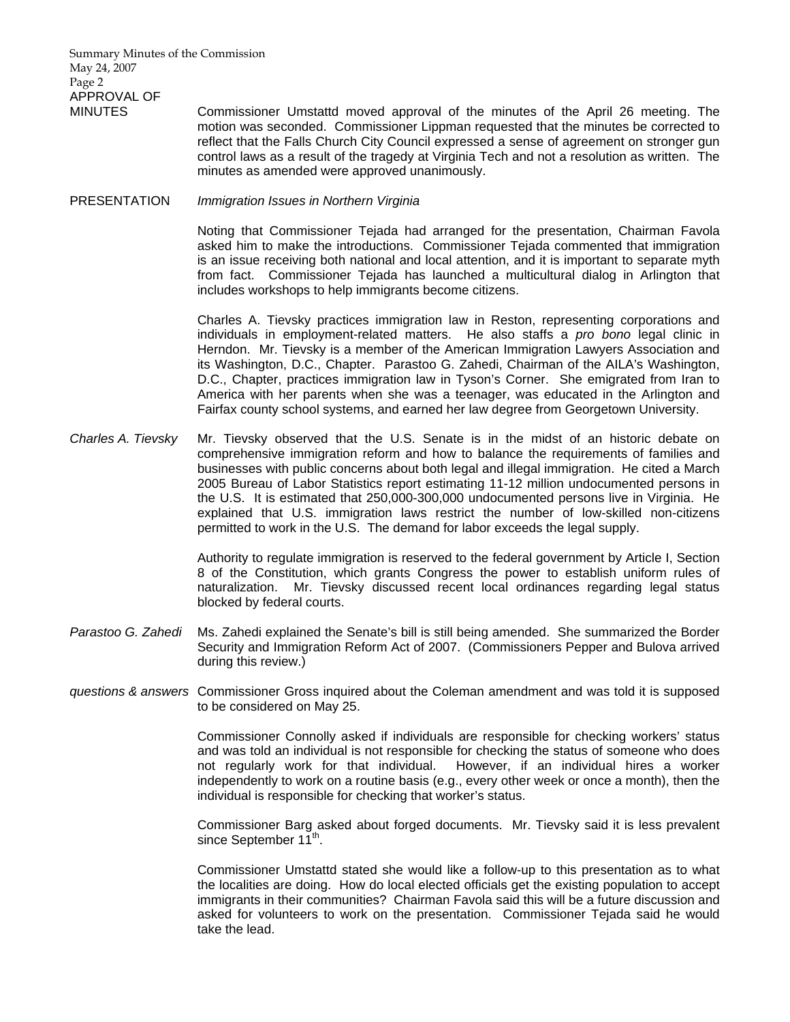Summary Minutes of the Commission May 24, 2007 Page 2 APPROVAL OF

MINUTES Commissioner Umstattd moved approval of the minutes of the April 26 meeting. The motion was seconded. Commissioner Lippman requested that the minutes be corrected to reflect that the Falls Church City Council expressed a sense of agreement on stronger gun control laws as a result of the tragedy at Virginia Tech and not a resolution as written. The minutes as amended were approved unanimously.

## PRESENTATION *Immigration Issues in Northern Virginia*

 Noting that Commissioner Tejada had arranged for the presentation, Chairman Favola asked him to make the introductions. Commissioner Tejada commented that immigration is an issue receiving both national and local attention, and it is important to separate myth from fact. Commissioner Tejada has launched a multicultural dialog in Arlington that includes workshops to help immigrants become citizens.

 Charles A. Tievsky practices immigration law in Reston, representing corporations and individuals in employment-related matters. He also staffs a *pro bono* legal clinic in Herndon. Mr. Tievsky is a member of the American Immigration Lawyers Association and its Washington, D.C., Chapter. Parastoo G. Zahedi, Chairman of the AILA's Washington, D.C., Chapter, practices immigration law in Tyson's Corner. She emigrated from Iran to America with her parents when she was a teenager, was educated in the Arlington and Fairfax county school systems, and earned her law degree from Georgetown University.

*Charles A. Tievsky* Mr. Tievsky observed that the U.S. Senate is in the midst of an historic debate on comprehensive immigration reform and how to balance the requirements of families and businesses with public concerns about both legal and illegal immigration. He cited a March 2005 Bureau of Labor Statistics report estimating 11-12 million undocumented persons in the U.S. It is estimated that 250,000-300,000 undocumented persons live in Virginia. He explained that U.S. immigration laws restrict the number of low-skilled non-citizens permitted to work in the U.S. The demand for labor exceeds the legal supply.

> Authority to regulate immigration is reserved to the federal government by Article I, Section 8 of the Constitution, which grants Congress the power to establish uniform rules of naturalization. Mr. Tievsky discussed recent local ordinances regarding legal status blocked by federal courts.

- *Parastoo G. Zahedi* Ms. Zahedi explained the Senate's bill is still being amended. She summarized the Border Security and Immigration Reform Act of 2007. (Commissioners Pepper and Bulova arrived during this review.)
- *questions & answers* Commissioner Gross inquired about the Coleman amendment and was told it is supposed to be considered on May 25.

Commissioner Connolly asked if individuals are responsible for checking workers' status and was told an individual is not responsible for checking the status of someone who does not regularly work for that individual. However, if an individual hires a worker independently to work on a routine basis (e.g., every other week or once a month), then the individual is responsible for checking that worker's status.

Commissioner Barg asked about forged documents. Mr. Tievsky said it is less prevalent since September 11<sup>th</sup>.

Commissioner Umstattd stated she would like a follow-up to this presentation as to what the localities are doing. How do local elected officials get the existing population to accept immigrants in their communities? Chairman Favola said this will be a future discussion and asked for volunteers to work on the presentation. Commissioner Tejada said he would take the lead.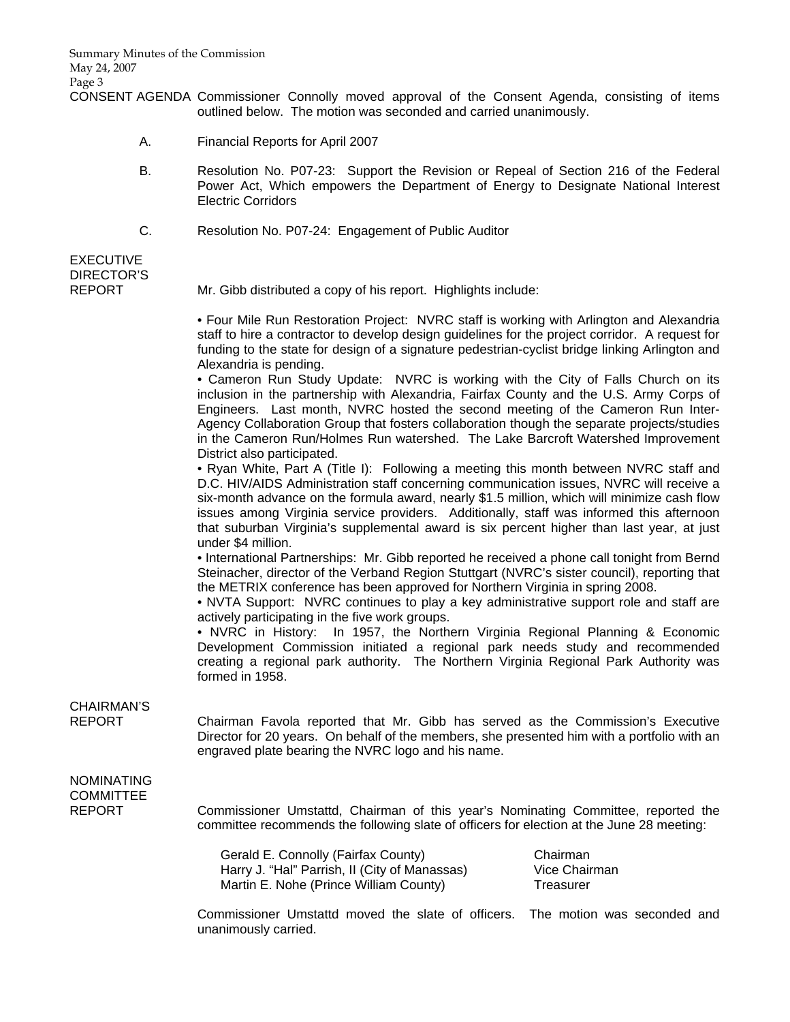CONSENT AGENDA Commissioner Connolly moved approval of the Consent Agenda, consisting of items outlined below. The motion was seconded and carried unanimously.

- A. Financial Reports for April 2007
- B. Resolution No. P07-23: Support the Revision or Repeal of Section 216 of the Federal Power Act, Which empowers the Department of Energy to Designate National Interest Electric Corridors
- C. Resolution No. P07-24: Engagement of Public Auditor

# EXECUTIVE DIRECTOR'S

REPORT Mr. Gibb distributed a copy of his report. Highlights include:

 • Four Mile Run Restoration Project: NVRC staff is working with Arlington and Alexandria staff to hire a contractor to develop design guidelines for the project corridor. A request for funding to the state for design of a signature pedestrian-cyclist bridge linking Arlington and Alexandria is pending.

 • Cameron Run Study Update: NVRC is working with the City of Falls Church on its inclusion in the partnership with Alexandria, Fairfax County and the U.S. Army Corps of Engineers. Last month, NVRC hosted the second meeting of the Cameron Run Inter-Agency Collaboration Group that fosters collaboration though the separate projects/studies in the Cameron Run/Holmes Run watershed. The Lake Barcroft Watershed Improvement District also participated.

 • Ryan White, Part A (Title I): Following a meeting this month between NVRC staff and D.C. HIV/AIDS Administration staff concerning communication issues, NVRC will receive a six-month advance on the formula award, nearly \$1.5 million, which will minimize cash flow issues among Virginia service providers. Additionally, staff was informed this afternoon that suburban Virginia's supplemental award is six percent higher than last year, at just under \$4 million.

 • International Partnerships: Mr. Gibb reported he received a phone call tonight from Bernd Steinacher, director of the Verband Region Stuttgart (NVRC's sister council), reporting that the METRIX conference has been approved for Northern Virginia in spring 2008.

 • NVTA Support: NVRC continues to play a key administrative support role and staff are actively participating in the five work groups.

 • NVRC in History: In 1957, the Northern Virginia Regional Planning & Economic Development Commission initiated a regional park needs study and recommended creating a regional park authority. The Northern Virginia Regional Park Authority was formed in 1958.

# CHAIRMAN'S

REPORT Chairman Favola reported that Mr. Gibb has served as the Commission's Executive Director for 20 years. On behalf of the members, she presented him with a portfolio with an engraved plate bearing the NVRC logo and his name.

# NOMINATING COMMITTEE

REPORT Commissioner Umstattd, Chairman of this year's Nominating Committee, reported the committee recommends the following slate of officers for election at the June 28 meeting:

> Gerald E. Connolly (Fairfax County) Chairman Harry J. "Hal" Parrish, II (City of Manassas) Vice Chairman Martin E. Nohe (Prince William County) Treasurer

 Commissioner Umstattd moved the slate of officers. The motion was seconded and unanimously carried.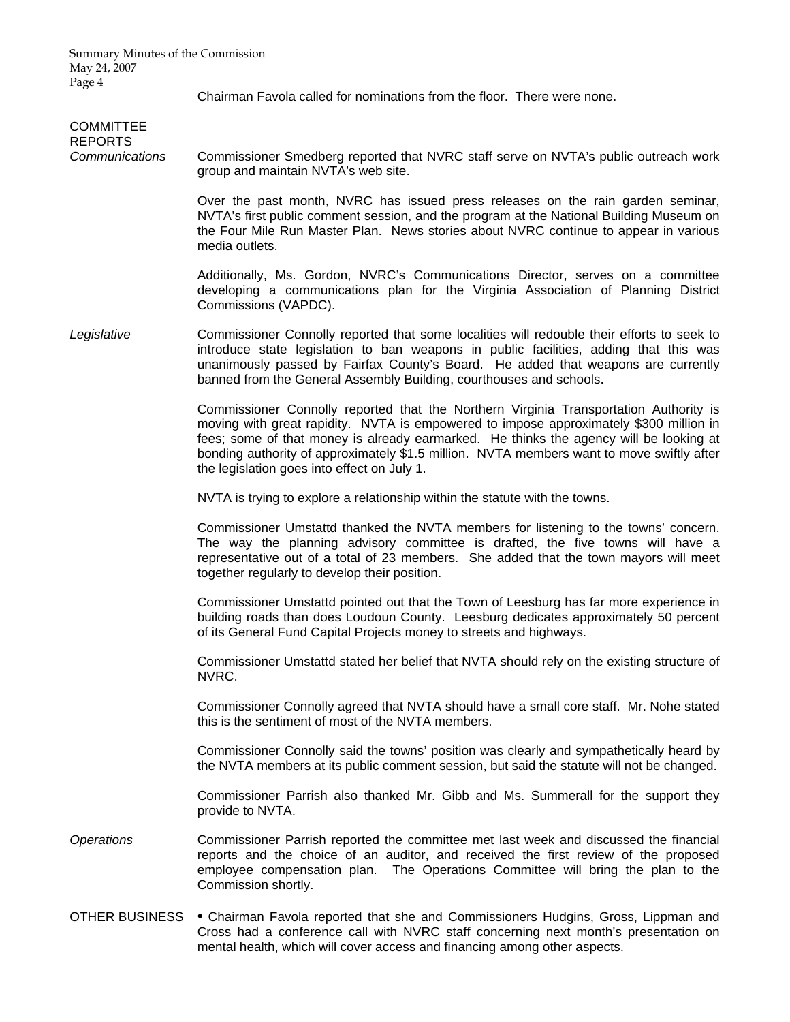Summary Minutes of the Commission May 24, 2007 Page 4

Chairman Favola called for nominations from the floor. There were none.

| <b>COMMITTEE</b><br><b>REPORTS</b><br>Communications | Commissioner Smedberg reported that NVRC staff serve on NVTA's public outreach work<br>group and maintain NVTA's web site.                                                                                                                                                                                                                                                                                            |
|------------------------------------------------------|-----------------------------------------------------------------------------------------------------------------------------------------------------------------------------------------------------------------------------------------------------------------------------------------------------------------------------------------------------------------------------------------------------------------------|
|                                                      | Over the past month, NVRC has issued press releases on the rain garden seminar,<br>NVTA's first public comment session, and the program at the National Building Museum on<br>the Four Mile Run Master Plan. News stories about NVRC continue to appear in various<br>media outlets.                                                                                                                                  |
|                                                      | Additionally, Ms. Gordon, NVRC's Communications Director, serves on a committee<br>developing a communications plan for the Virginia Association of Planning District<br>Commissions (VAPDC).                                                                                                                                                                                                                         |
| Legislative                                          | Commissioner Connolly reported that some localities will redouble their efforts to seek to<br>introduce state legislation to ban weapons in public facilities, adding that this was<br>unanimously passed by Fairfax County's Board. He added that weapons are currently<br>banned from the General Assembly Building, courthouses and schools.                                                                       |
|                                                      | Commissioner Connolly reported that the Northern Virginia Transportation Authority is<br>moving with great rapidity. NVTA is empowered to impose approximately \$300 million in<br>fees; some of that money is already earmarked. He thinks the agency will be looking at<br>bonding authority of approximately \$1.5 million. NVTA members want to move swiftly after<br>the legislation goes into effect on July 1. |
|                                                      | NVTA is trying to explore a relationship within the statute with the towns.                                                                                                                                                                                                                                                                                                                                           |
|                                                      | Commissioner Umstattd thanked the NVTA members for listening to the towns' concern.<br>The way the planning advisory committee is drafted, the five towns will have a<br>representative out of a total of 23 members. She added that the town mayors will meet<br>together regularly to develop their position.                                                                                                       |
|                                                      | Commissioner Umstattd pointed out that the Town of Leesburg has far more experience in<br>building roads than does Loudoun County. Leesburg dedicates approximately 50 percent<br>of its General Fund Capital Projects money to streets and highways.                                                                                                                                                                 |
|                                                      | Commissioner Umstattd stated her belief that NVTA should rely on the existing structure of<br>NVRC.                                                                                                                                                                                                                                                                                                                   |
|                                                      | Commissioner Connolly agreed that NVTA should have a small core staff. Mr. Nohe stated<br>this is the sentiment of most of the NVTA members.                                                                                                                                                                                                                                                                          |
|                                                      | Commissioner Connolly said the towns' position was clearly and sympathetically heard by<br>the NVTA members at its public comment session, but said the statute will not be changed.                                                                                                                                                                                                                                  |
|                                                      | Commissioner Parrish also thanked Mr. Gibb and Ms. Summerall for the support they<br>provide to NVTA.                                                                                                                                                                                                                                                                                                                 |
| Operations                                           | Commissioner Parrish reported the committee met last week and discussed the financial<br>reports and the choice of an auditor, and received the first review of the proposed<br>employee compensation plan. The Operations Committee will bring the plan to the<br>Commission shortly.                                                                                                                                |
| OTHER BUSINESS                                       | • Chairman Favola reported that she and Commissioners Hudgins, Gross, Lippman and<br>Cross had a conference call with NVRC staff concerning next month's presentation on                                                                                                                                                                                                                                              |

mental health, which will cover access and financing among other aspects.